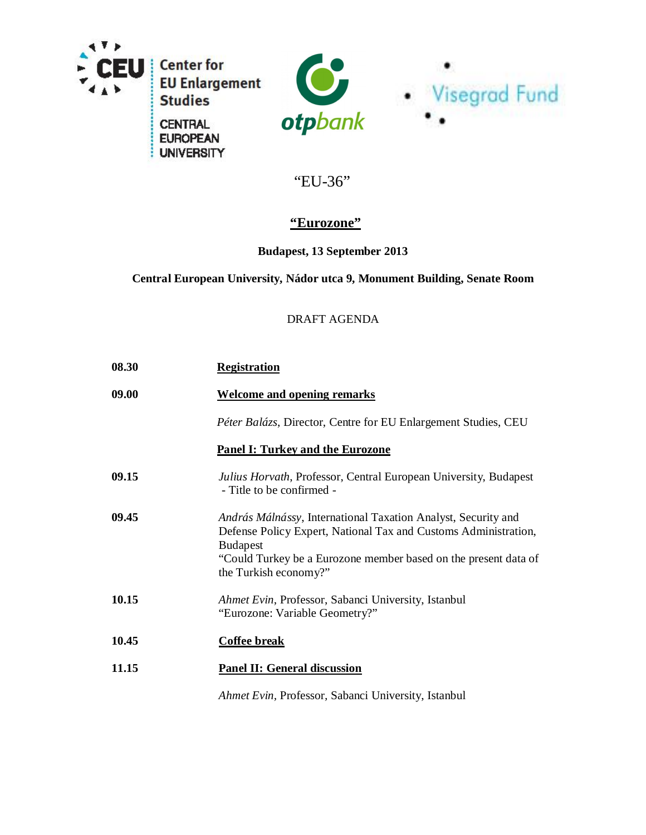

÷

**UNIVERSITY** 



# "EU-36"

# **"Eurozone"**

## **Budapest, 13 September 2013**

### **Central European University, Nádor utca 9, Monument Building, Senate Room**

### DRAFT AGENDA

| 08.30 | <b>Registration</b>                                                                                                                                                                                                                             |
|-------|-------------------------------------------------------------------------------------------------------------------------------------------------------------------------------------------------------------------------------------------------|
| 09.00 | <b>Welcome and opening remarks</b>                                                                                                                                                                                                              |
|       | Péter Balázs, Director, Centre for EU Enlargement Studies, CEU                                                                                                                                                                                  |
|       | <b>Panel I: Turkey and the Eurozone</b>                                                                                                                                                                                                         |
| 09.15 | Julius Horvath, Professor, Central European University, Budapest<br>- Title to be confirmed -                                                                                                                                                   |
| 09.45 | András Málnássy, International Taxation Analyst, Security and<br>Defense Policy Expert, National Tax and Customs Administration,<br><b>Budapest</b><br>"Could Turkey be a Eurozone member based on the present data of<br>the Turkish economy?" |
| 10.15 | Ahmet Evin, Professor, Sabanci University, Istanbul<br>"Eurozone: Variable Geometry?"                                                                                                                                                           |
| 10.45 | <b>Coffee break</b>                                                                                                                                                                                                                             |
| 11.15 | <b>Panel II: General discussion</b>                                                                                                                                                                                                             |
|       | Ahmet Evin, Professor, Sabanci University, Istanbul                                                                                                                                                                                             |